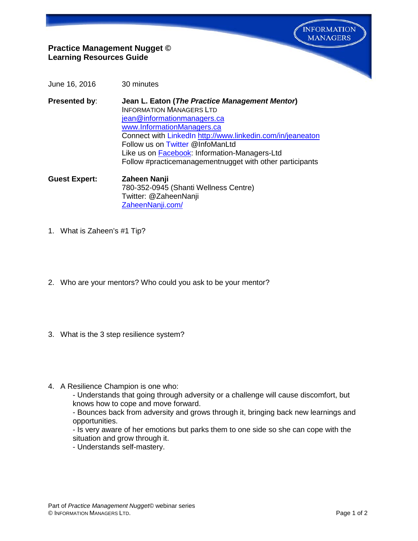**INFORMATION MANAGERS** 

## **Practice Management Nugget © Learning Resources Guide**

- June 16, 2016 30 minutes
- **Presented by**: **Jean L. Eaton (***The Practice Management Mentor***)** INFORMATION MANAGERS LTD [jean@informationmanagers.ca](mailto:jean@informationmanagers.ca) [www.InformationManagers.ca](http://www.informationmanagers.ca/) Connect with [LinkedIn](http://www.linkedin.com/in/jeaneaton) <http://www.linkedin.com/in/jeaneaton> Follow us on [Twitter](https://twitter.com/InfoManLtd) @InfoManLtd Like us on [Facebook:](https://www.facebook.com/pages/Information-Managers-Ltd/291303607725640) Information-Managers-Ltd Follow #practicemanagementnugget with other participants
- **Guest Expert: Zaheen Nanji** 780-352-0945 (Shanti Wellness Centre) Twitter: @ZaheenNanji [ZaheenNanji.com/](http://zaheennanji.com/)
- 1. What is Zaheen's #1 Tip?
- 2. Who are your mentors? Who could you ask to be your mentor?
- 3. What is the 3 step resilience system?
- 4. A Resilience Champion is one who:
	- Understands that going through adversity or a challenge will cause discomfort, but knows how to cope and move forward.
	- Bounces back from adversity and grows through it, bringing back new learnings and opportunities.
	- Is very aware of her emotions but parks them to one side so she can cope with the situation and grow through it.
	- Understands self-mastery.